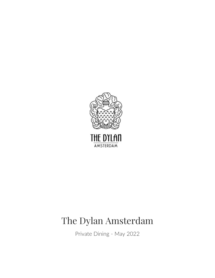

# The Dylan Amsterdam

Private Dining - May 2022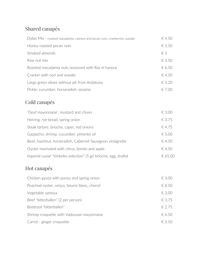### Shared canapés

| Dylan Mix - roasted macadamia, cashew and pecan nuts, cranberries, wasabi | € 4.50          |
|---------------------------------------------------------------------------|-----------------|
| Honey roasted pecan nuts                                                  | $\epsilon$ 3.50 |
| Smoked almonds                                                            | $\xi$ 3         |
| Raw nut mix                                                               | € 3.50          |
| Roasted macadamia nuts seasoned with Ras el hanout                        | $\epsilon$ 6.50 |
| Cracker with nori and wasabi                                              | €.4.50          |
| Large green olives without pit from Andalusia                             | $\epsilon$ 3.20 |
| Pickle; cucumber, horseradish, sesame                                     | $f \in 700$     |

### Cold canapés

| 'Oeuf mayonnaise', mustard and chives                             | $\epsilon$ 3.00 |
|-------------------------------------------------------------------|-----------------|
| Herring, rye bread, spring onion                                  | $\epsilon$ 3.75 |
| Steak tartare, brioche, caper, red onions                         | € 4.75          |
| Gazpacho, shrimp, cucumber, pimento oil                           | € 5.00          |
| Beet, hazelnut, horseradish, Cabernet Sauvignon vinaigrette       | $-6.4.50$       |
| Oyster marinated with citrus, bonito and apple                    | $-6.4.50$       |
| Imperial caviar "Vinkeles selection" (5 gr) brioche, egg, shallot | € 65.00         |

### Hot canapés

| Chicken gyoza with ponzu and spring onion     | $\epsilon$ 3.00 |
|-----------------------------------------------|-----------------|
| Poached oyster, verjus, beurre blanc, chervil | $\epsilon$ 8.50 |
| Vegetable samosa                              | € 3.00          |
| Beef "bitterballen" (2 per person)            | € 3.75          |
| Beetroot "bitterballen"                       | € 2.75          |
| Shrimp croquette with Vadouvan mayonnaise     | € 6.50          |
| Carrot - ginger croquette                     | €.3.50          |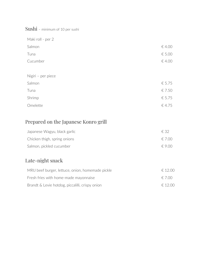Sushi – minimum of 10 per sushi

| Maki roll - per 2  |        |
|--------------------|--------|
| Salmon             | € 4.00 |
| Tuna               | € 5.00 |
| Cucumber           | € 4.00 |
|                    |        |
| Nigiri - per piece |        |
| Salmon             | € 5.75 |
| Tuna               | € 7.50 |
| Shrimp             | € 5.75 |
| Omelette           | € 4.75 |

### Prepared on the Japanese Konro grill

| Japanese Wagyu, black garlic | $\epsilon$ 32   |
|------------------------------|-----------------|
| Chicken thigh, spring onions | $\epsilon$ 7 00 |
| Salmon, pickled cucumber     | $\epsilon$ 9 00 |

### Late-night snack

| MRIJ beef burger, lettuce, onion, homemade pickle | $\epsilon$ 12 00 |
|---------------------------------------------------|------------------|
| Fresh fries with home-made mayonnaise             | $\epsilon$ 7 00  |
| Brandt & Levie hotdog, piccalilli, crispy onion   | $\epsilon$ 12 00 |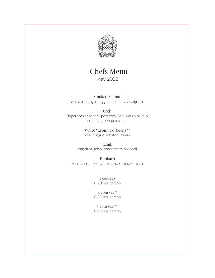

## [Chefs](https://www.dylanamsterdam.com/an-interview-with-dennis-kuipers/) Menu

May 2022

Smoked Salmon white asparagus, egg and parsley vinaigrette

#### Cod\*

"Opperdoezer ronde" potatoes, San Mauro olive oil, creamy green pea sauce

> White "Krombek" beans\*\* veal tongue, lobster, jasmin

Lamb eggplant, miso, tenderstem broccoli

Rhubarb vanilla, crumble, white chocolate ice cream

> 3 courses € 70 per person

> 4 courses \* € 85 per person

> 5 courses \*\* € 95 per person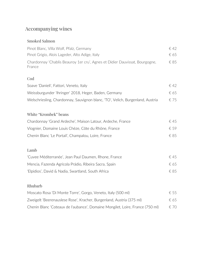### Accompanying wines

#### Smoked Salmon

| Pinot Blanc, Villa Wolf, Pfalz, Germany                                               | €.42          |
|---------------------------------------------------------------------------------------|---------------|
| Pinot Grigio, Alois Lageder, Alto Adige, Italy                                        | € 65          |
| Chardonnay 'Chablis Beauroy 1er cru', Agnes et Didier Dauvissat, Bourgogne,<br>France | €85           |
| Cod                                                                                   |               |
| Soave 'Danieli', Fattori, Veneto, Italy                                               | $\epsilon$ 42 |
| Weissburgunder 'Ihringer' 2018, Heger, Baden, Germany                                 | € 65          |
| Welschriesling, Chardonnay, Sauvignon blanc, 'TO', Velich, Burgenland, Austria        | € 75          |
| White "Krombek" beans                                                                 |               |
| Chardonnay 'Grand Ardeche', Maison Latour, Ardeche, France                            | €.45          |
| Viognier, Domaine Louis Chèze, Côte du Rhône, France                                  | € 59          |
| Chenin Blanc 'Le Portail', Champalou, Loire, France                                   | € 85          |
| Lamb                                                                                  |               |

| 'Cuvee Méditerranée', Jean Paul Daumen, Rhone, France | €.45 |
|-------------------------------------------------------|------|
| Mencia, Fazenda Agrícola Prádio, Ribeira Sacra, Spain | € 65 |
| 'Elpidios', David & Nadia, Swartland, South Africa    | €.85 |

#### Rhubarb

| Moscato Rosa 'Di Monte Torre', Gorgo, Veneto, Italy (500 ml)                  | $\epsilon$ 55 |
|-------------------------------------------------------------------------------|---------------|
| Zweigelt 'Beerenauslese Rose', Kracher, Burgenland, Austria (375 ml)          | € 65          |
| Chenin Blanc 'Coteaux de l'aubance', Domaine Mongilet, Loire, France (750 ml) | € 70          |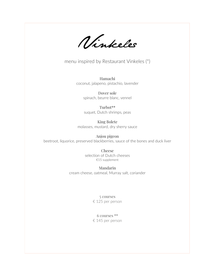Vinkeles

menu inspired by Restaurant Vinkeles (\*)

Hamachi coconut, jalapeno, pistachio, lavender

> Dover sole spinach, beurre blanc, vennel

Turbot\*\* suquet, Dutch shrimps, peas

King Bolete molasses, mustard, dry sherry sauce

Anjou pigeon beetroot, liquorice, preserved blackberries, sauce of the bones and duck liver

> Cheese selection of Dutch cheeses €15 supplement

Mandarin cream cheese, oatmeal, Murray salt, coriander

> 5 courses € 125 per person

> 6 courses \*\* € 145 per person